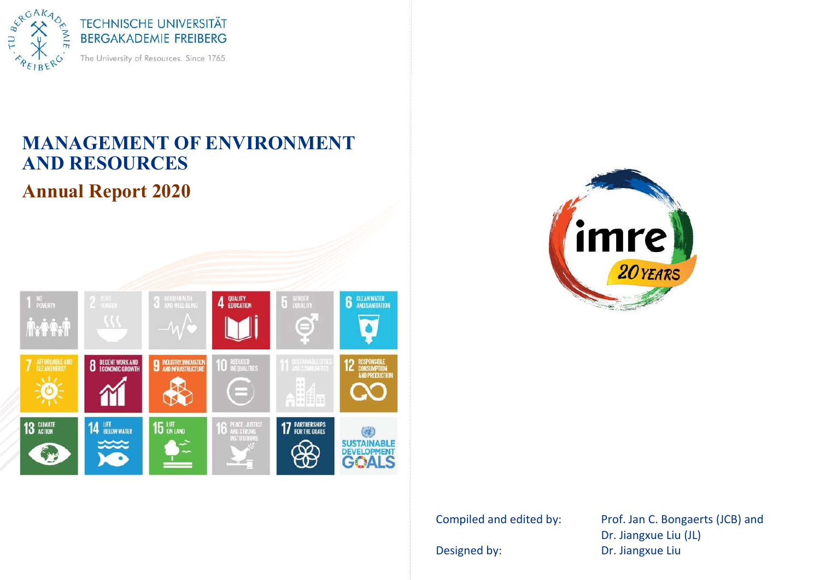

# MANAGEMENT OF ENVIRONMENT AND RESOURCES **Annual Report 2020**





Compiled and edited by: Prof. Jan C. Bongaerts (JCB) and Dr. Jiangxue Liu (JL) Designed by: Designed by: Dr. Jiangxue Liu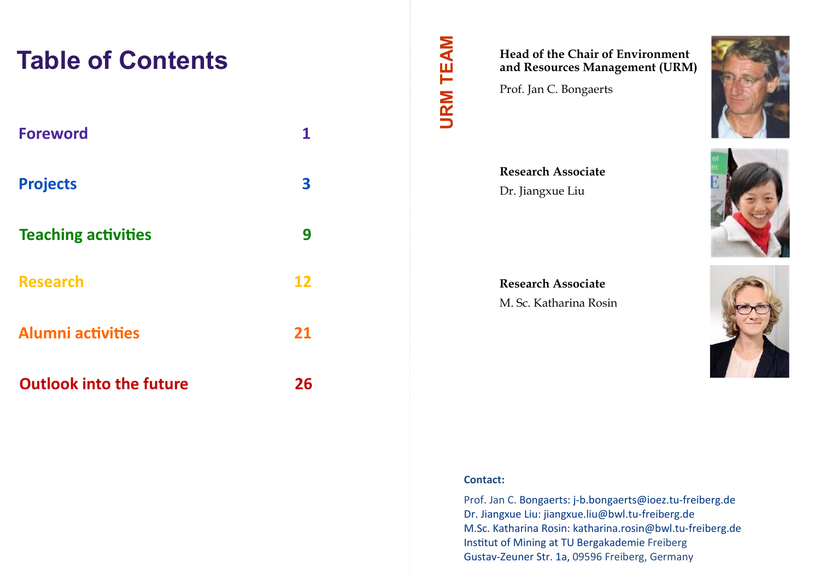# **Table of Contents**

| <b>Foreword</b>                | 1  |
|--------------------------------|----|
| <b>Projects</b>                | 3  |
| <b>Teaching activities</b>     | 9  |
| <b>Research</b>                | 12 |
| <b>Alumni activities</b>       | 21 |
| <b>Outlook into the future</b> | 26 |

## Head of the Chair of Environment and Resources Management (URM)

Prof. Jan C. Bongaerts

**URM TEAM** 

Research Associate Dr. Jiangxue Liu

Research Associate M. Sc. Katharina Rosin







#### Contact:

Prof. Jan C. Bongaerts: j-b.bongaerts@ioez.tu-freiberg.de Dr. Jiangxue Liu: jiangxue.liu@bwl.tu-freiberg.de M.Sc. Katharina Rosin: katharina.rosin@bwl.tu-freiberg.de Institut of Mining at TU Bergakademie Freiberg Gustav-Zeuner Str. 1a, 09596 Freiberg, Germany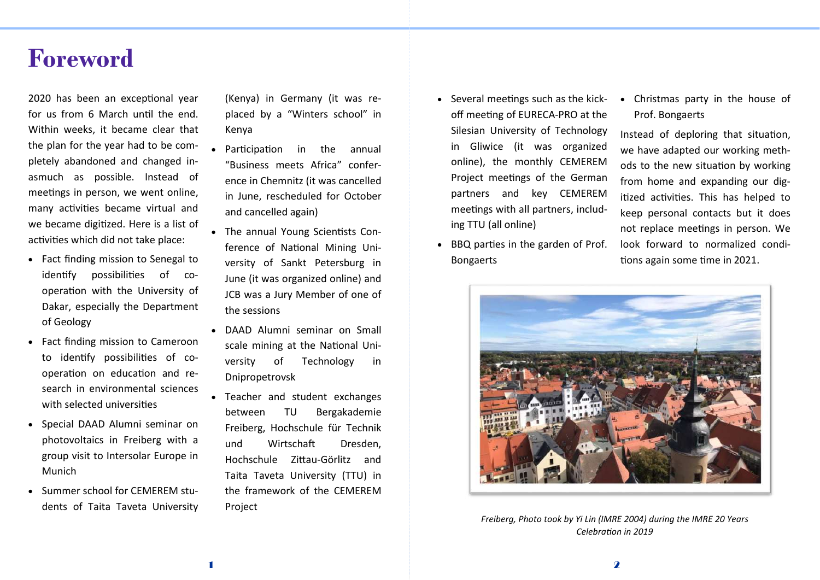# Foreword

2020 has been an exceptional vear for us from 6 March until the end. Within weeks, it became clear that the plan for the year had to be completely abandoned and changed inasmuch as possible. Instead of meetings in person, we went online, many activities became virtual and we became digitized. Here is a list of activities which did not take place:

- Fact finding mission to Senegal to identify possibilities of cooperation with the University of Dakar, especially the Department of Geology
- Fact finding mission to Cameroon to identify possibilities of cooperation on education and research in environmental sciences with selected universities
- Special DAAD Alumni seminar on photovoltaics in Freiberg with a group visit to Intersolar Europe in Munich
- Summer school for CEMEREM students of Taita Taveta University

(Kenva) in Germany (it was replaced by a "Winters school" in Kenva

- Participation in the annual "Business meets Africa" conference in Chemnitz (it was cancelled in June, rescheduled for October and cancelled again)
- The annual Young Scientists Conference of National Mining University of Sankt Petersburg in June (it was organized online) and JCB was a Jury Member of one of the sessions
- DAAD Alumni seminar on Small scale mining at the National University of Technology in Dnipropetrovsk
- Teacher and student exchanges between TU Bergakademie Freiberg, Hochschule für Technik und Wirtschaft Dresden. Hochschule Zittau-Görlitz and Taita Taveta University (TTU) in the framework of the CEMEREM Project
- Several meetings such as the kickoff meeting of EURECA-PRO at the Silesian University of Technology in Gliwice (it was organized online), the monthly CEMEREM Project meetings of the German partners and key CEMEREM meetings with all partners, including TTU (all online)
- BBQ parties in the garden of Prof. Bongaerts

• Christmas party in the house of Prof. Bongaerts

Instead of deploring that situation, we have adapted our working methods to the new situation by working from home and expanding our digitized activities. This has helped to keep personal contacts but it does not replace meetings in person. We look forward to normalized conditions again some time in 2021.



Freiberg, Photo took by Yi Lin (IMRE 2004) during the IMRE 20 Years Celehration in 2019

2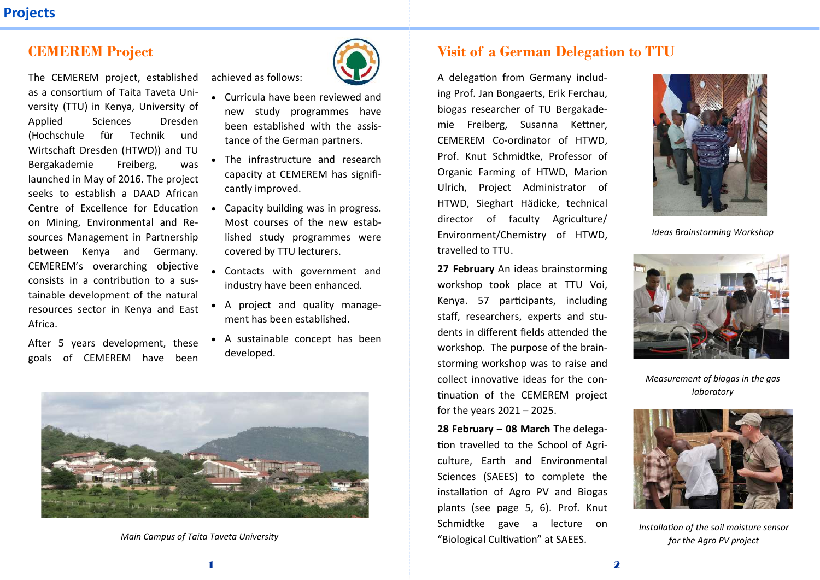## CEMEREM Project

The CEMEREM project, established as a consortium of Taita Taveta University (TTU) in Kenya, University of Applied Sciences Dresden (Hochschule für Technik und Wirtschaft Dresden (HTWD)) and TU Bergakademie Freiberg, was launched in May of 2016. The project seeks to establish a DAAD African on Mining, Environmental and Resources Management in Partnership between Kenya and Germany. CEMEREM's overarching objective consists in a contribution to a sustainable development of the natural resources sector in Kenya and East Africa.

After 5 years development, these goals of CEMEREM have been



• Curricula have been reviewed and new study programmes have heen established with the assistance of the German partners.

achieved as follows:

- The infrastructure and research capacity at CEMEREM has significantly improved.
- Centre of Excellence for Education Capacity building was in progress. Most courses of the new established study programmes were covered by TTU lecturers.
	- Contacts with government and industry have been enhanced.
	- A project and quality management has been established.
	- A sustainable concept has been developed.



Main Campus of Taita Taveta University

## Visit of a German Delegation to TTU

A delegation from Germany including Prof. Jan Bongaerts, Erik Ferchau, biogas researcher of TU Bergakademie Freiberg, Susanna Kettner, CEMEREM Co-ordinator of HTWD. Prof. Knut Schmidtke, Professor of Organic Farming of HTWD, Marion Ulrich, Project Administrator of HTWD, Sieghart Hädicke, technical director of faculty Agriculture/ Environment/Chemistry of HTWD. travelled to TTU.

27 February An ideas brainstorming workshop took place at TTU Voi, Kenya. 57 participants, including staff, researchers, experts and students in different fields attended the workshop. The purpose of the brainstorming workshop was to raise and collect innovative ideas for the continuation of the CEMEREM project for the vears  $2021 - 2025$ .

 $28$  February – 08 March The delegation travelled to the School of Agriculture, Earth and Environmental Sciences (SAEES) to complete the installation of Agro PV and Biogas plants (see page 5, 6). Prof. Knut Schmidtke gave a lecture on "Biological Cultivation" at SAEES.



Ideas Brainstormina Workshop



Measurement of biogas in the gas laboratory



Installation of the soil moisture sensor for the Agro PV project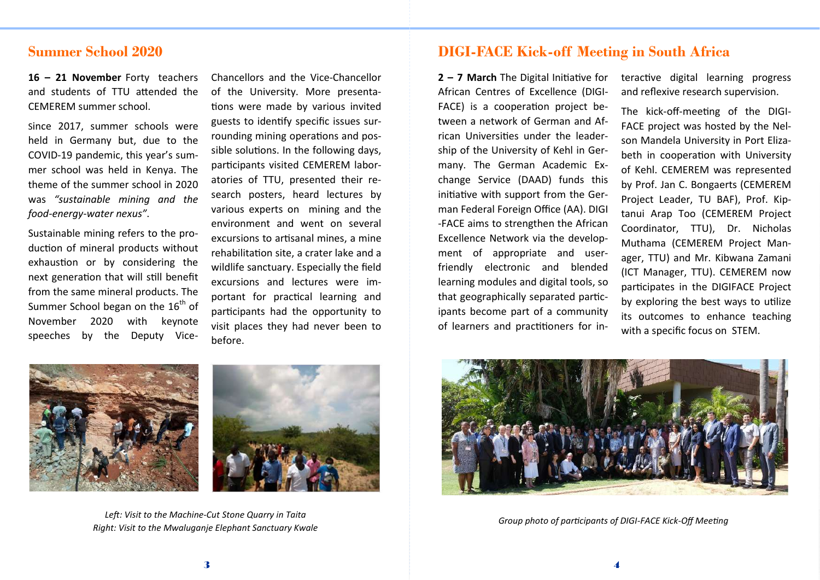### Summer School 2020

16 – 21 November Forty teachers and students of TTU attended the CEMEREM summer school.

Since 2017, summer schools were held in Germany but, due to the COVID-19 pandemic, this year's summer school was held in Kenya. The theme of the summer school in 2020 was "sustainable mining and the food-energy-water nexus".

Sustainable mining refers to the production of mineral products without exhaustion or by considering the next generation that will still benefit from the same mineral products. The Summer School began on the  $16<sup>th</sup>$  of November 2020 with keynote speeches by the Deputy Vice-

Chancellors and the Vice-Chancellor of the University. More presentations were made by various invited guests to identify specific issues surrounding mining operations and possible solutions. In the following days, participants visited CEMEREM laboratories of TTU, presented their research posters, heard lectures by various experts on mining and the environment and went on several excursions to artisanal mines, a mine rehabilitation site, a crater lake and a wildlife sanctuary. Especially the field excursions and lectures were important for practical learning and participants had the opportunity to visit places they had never been to hefore.



 $2 - 7$  March The Digital Initiative for African Centres of Excellence (DIGI-FACE) is a cooperation project between a network of German and African Universities under the leadership of the University of Kehl in Germany. The German Academic Exchange Service (DAAD) funds this initiative with support from the German Federal Foreign Office (AA). DIGI -FACE aims to strengthen the African Excellence Network via the development of appropriate and userfriendly electronic and blended learning modules and digital tools, so that geographically separated participants become part of a community of learners and practitioners for interactive digital learning progress and reflexive research supervision.

The kick-off-meeting of the DIGI-FACE project was hosted by the Nelson Mandela University in Port Elizabeth in cooperation with University of Kehl. CEMEREM was represented by Prof. Jan C. Bongaerts (CEMEREM Project Leader, TU BAF), Prof. Kiptanui Arap Too (CEMEREM Project Coordinator, TTU), Dr. Nicholas Muthama (CEMEREM Project Manager, TTU) and Mr. Kibwana Zamani (ICT Manager, TTU). CEMEREM now participates in the DIGIFACE Project by exploring the best ways to utilize its outcomes to enhance teaching with a specific focus on STEM.





Left: Visit to the Machine-Cut Stone Quarry in Taita Right: Visit to the Mwaluganje Elephant Sanctuary Kwale



Group photo of participants of DIGI-FACE Kick-Off Meeting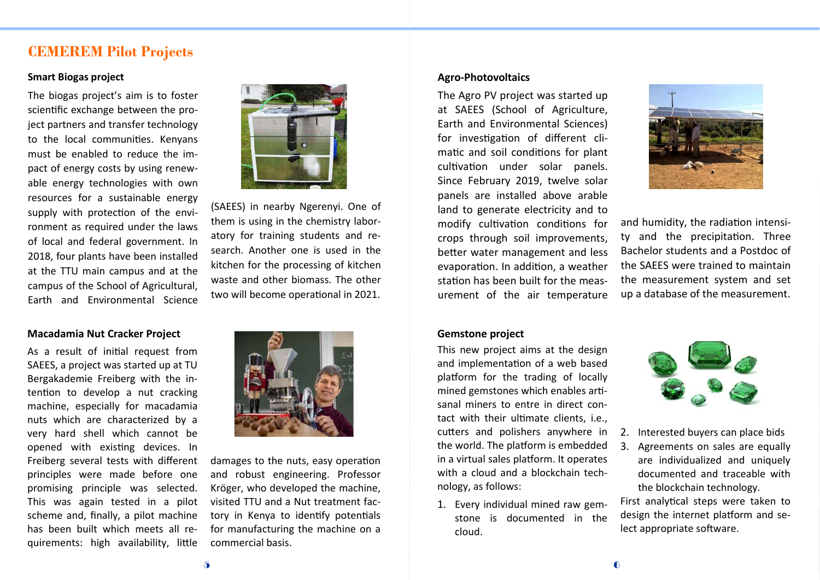### CEMEREM Pilot Projects

#### **Smart Biogas project**

The biogas project's aim is to foster scientific exchange between the project partners and transfer technology to the local communities. Kenyans must be enabled to reduce the impact of energy costs by using renewable energy technologies with own resources for a sustainable energy supply with protection of the environment as required under the laws of local and federal government. In 2018, four plants have been installed at the TTU main campus and at the campus of the School of Agricultural, Earth and Environmental Science

#### Macadamia Nut Cracker Project

As a result of initial request from SAEES, a project was started up at TU Bergakademie Freiberg with the intention to develop a nut cracking machine, especially for macadamia nuts which are characterized by a very hard shell which cannot be opened with existing devices. In Freiberg several tests with different principles were made before one promising principle was selected. This was again tested in a pilot scheme and, finally, a pilot machine has been built which meets all requirements: high availability. little

![](_page_5_Picture_5.jpeg)

(SAEES) in nearby Ngerenyi. One of them is using in the chemistry laboratory for training students and research. Another one is used in the kitchen for the processing of kitchen waste and other biomass. The other two will become operational in 2021.

![](_page_5_Picture_7.jpeg)

damages to the nuts, easy operation and robust engineering. Professor Kröger, who developed the machine, visited TTU and a Nut treatment factory in Kenya to identify potentials for manufacturing the machine on a commercial basis.

#### Agro-Photovoltaics

The Agro PV project was started up at SAEES (School of Agriculture, Earth and Environmental Sciences) for investigation of different climatic and soil conditions for plant cultivation under solar panels. Since February 2019, twelve solar panels are installed above arable land to generate electricity and to modify cultivation conditions for crops through soil improvements, better water management and less evaporation. In addition, a weather station has been built for the measurement of the air temperature

#### Gemstone project

This new project aims at the design and implementation of a web based platform for the trading of locally mined gemstones which enables artisanal miners to entre in direct contact with their ultimate clients, i.e., cutters and polishers anywhere in the world. The platform is embedded in a virtual sales platform. It operates with a cloud and a blockchain technology, as follows:

1. Every individual mined raw gemstone is documented in the cloud.

![](_page_5_Picture_14.jpeg)

and humidity, the radiation intensity and the precipitation. Three Bachelor students and a Postdoc of the SAFFS were trained to maintain the measurement system and set up a database of the measurement.

![](_page_5_Picture_16.jpeg)

- 2. Interested buyers can place bids
- 3. Agreements on sales are equally are individualized and uniquely documented and traceable with the blockchain technology.

First analytical steps were taken to design the internet platform and select appropriate software.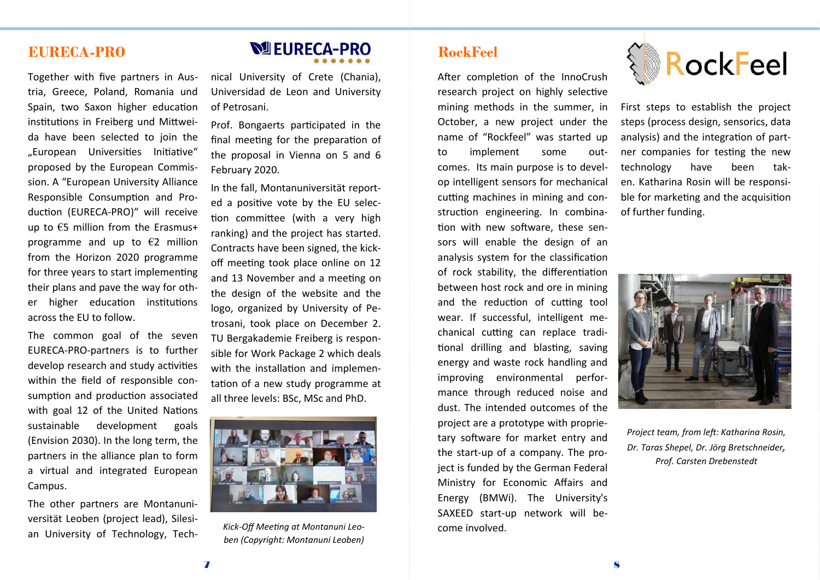## EURECA-PRO

Together with five partners in Austria, Greece, Poland, Romania und Spain, two Saxon higher education institutions in Freiberg und Mittweida have been selected to join the "European Universities Initiative" proposed by the European Commission. A "European University Alliance Responsible Consumption and Production (EURECA-PRO)" will receive up to  $\xi$ 5 million from the Erasmus+ programme and up to  $\epsilon$ 2 million from the Horizon 2020 programme for three years to start implementing their plans and pave the way for other higher education institutions across the EU to follow.

The common goal of the seven EURECA-PRO-partners is to further develop research and study activities within the field of responsible consumption and production associated with goal 12 of the United Nations sustainable development goals (Envision 2030). In the long term, the partners in the alliance plan to form a virtual and integrated European Campus.

The other partners are Montanuniversität Leoben (proiect lead). Silesian University of Technology, Tech-

# **NUEURECA-PRO**

nical University of Crete (Chania). Universidad de Leon and University of Petrosani

Prof. Bongaerts participated in the final meeting for the preparation of the proposal in Vienna on 5 and 6 February 2020.

In the fall, Montanuniversität reported a positive vote by the EU selection committee (with a very high ranking) and the project has started. Contracts have been signed, the kickoff meeting took place online on 12 and 13 November and a meeting on the design of the website and the logo, organized by University of Petrosani, took place on December 2. TU Bergakademie Freiberg is responsible for Work Package 2 which deals with the installation and implementation of a new study programme at all three levels: BSc, MSc and PhD.

![](_page_6_Picture_8.jpeg)

Kick-Off Meeting at Montanuni Leoben (Copyright: Montanuni Leoben)

## RockFeel

After completion of the InnoCrush research project on highly selective mining methods in the summer, in October, a new project under the name of "Rockfeel" was started up to implement some outcomes. Its main purpose is to develop intelligent sensors for mechanical cutting machines in mining and construction engineering. In combination with new software, these sensors will enable the design of an analysis system for the classification of rock stability, the differentiation between host rock and ore in mining and the reduction of cutting tool wear. If successful, intelligent mechanical cutting can replace traditional drilling and blasting, saving energy and waste rock handling and improving environmental performance through reduced noise and dust. The intended outcomes of the project are a prototype with proprietary software for market entry and the start-up of a company. The project is funded by the German Federal Ministry for Economic Affairs and Energy (BMWi). The University's SAXEED start-up network will become involved.

![](_page_6_Picture_12.jpeg)

First steps to establish the project steps (process design, sensorics, data analysis) and the integration of partner companies for testing the new technology have been taken. Katharina Rosin will be responsible for marketing and the acquisition of further funding.

![](_page_6_Picture_14.jpeg)

Project team, from left: Katharina Rosin, Dr. Taras Shepel, Dr. Jörg Bretschneider, Prof. Carsten Drebenstedt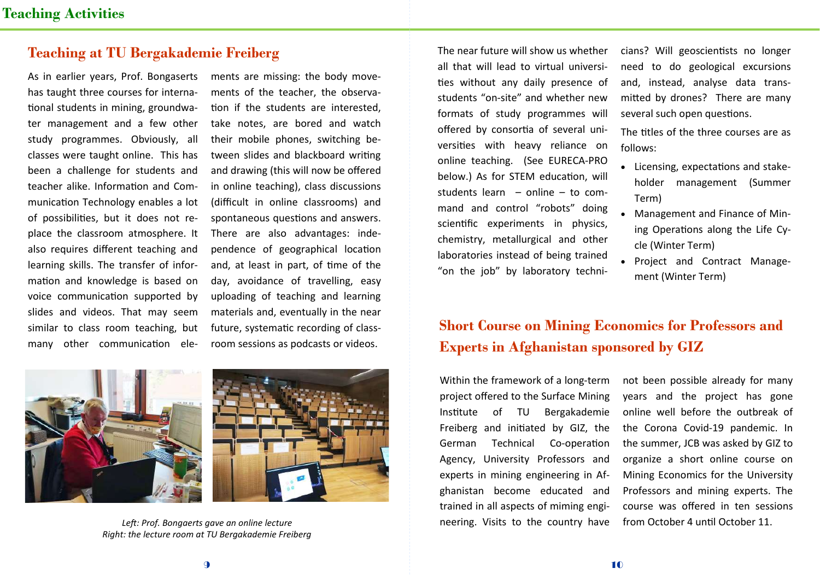## Teaching at TU Bergakademie Freiberg

As in earlier years, Prof. Bongaserts has taught three courses for international students in mining, groundwater management and a few other study programmes. Obviously, all classes were taught online. This has been a challenge for students and teacher alike. Information and Communication Technology enables a lot of possibilities, but it does not replace the classroom atmosphere. It also requires different teaching and learning skills. The transfer of information and knowledge is based on voice communication supported by slides and videos. That may seem similar to class room teaching, but many other communication elements are missing: the body movements of the teacher, the observation if the students are interested. take notes, are bored and watch their mobile phones, switching between slides and blackboard writing and drawing (this will now be offered in online teaching), class discussions (difficult in online classrooms) and spontaneous questions and answers. There are also advantages: independence of geographical location and, at least in part, of time of the day, avoidance of travelling, easy uploading of teaching and learning materials and, eventually in the near future, systematic recording of classroom sessions as podcasts or videos.

![](_page_7_Picture_4.jpeg)

![](_page_7_Picture_5.jpeg)

Left: Prof. Bonagerts gave an online lecture Right: the lecture room at TU Bergakademie Freiberg

The near future will show us whether all that will lead to virtual universities without any daily presence of students "on-site" and whether new formats of study programmes will offered by consortia of several universities with heavy reliance on online teaching. (See EURECA-PRO below.) As for STEM education, will students learn – online – to command and control "robots" doing scientific experiments in physics. chemistry, metallurgical and other laboratories instead of being trained "on the job" by laboratory technicians? Will geoscientists no longer need to do geological excursions and, instead, analyse data transmitted by drones? There are many several such open questions.

The titles of the three courses are as follows:

- Licensing, expectations and stakeholder management (Summer Term)
- Management and Finance of Mining Operations along the Life Cvcle (Winter Term)
- Proiect and Contract Management (Winter Term)

# Short Course on Mining Economics for Professors and Experts in Afghanistan sponsored by GIZ

Within the framework of a long-term project offered to the Surface Mining Institute of TU Bergakademie Freiberg and initiated by GIZ, the German Technical Co-operation Agency, University Professors and experts in mining engineering in Afghanistan become educated and trained in all aspects of miming engineering. Visits to the country have

not been possible already for many years and the project has gone online well before the outbreak of the Corona Covid-19 pandemic. In the summer, JCB was asked by GIZ to organize a short online course on Mining Economics for the University Professors and mining experts. The course was offered in ten sessions from October 4 until October 11.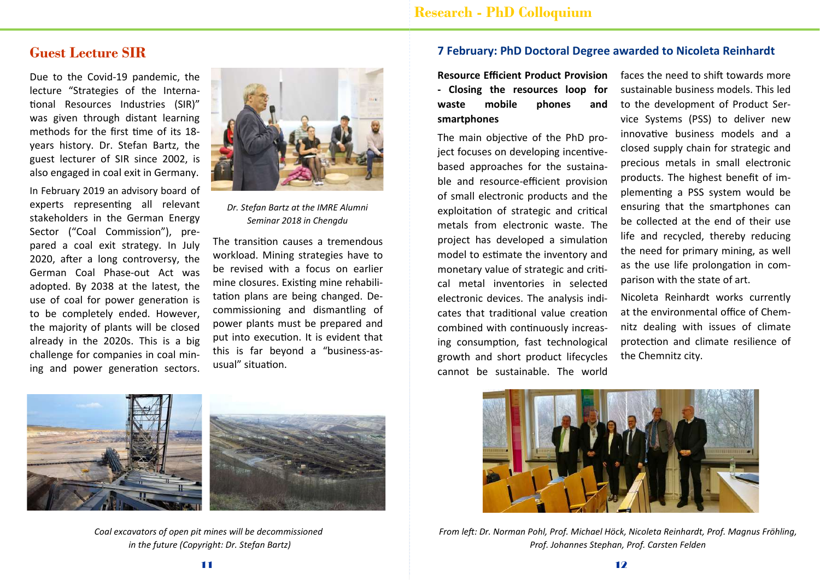## Guest Lecture SIR

Due to the Covid-19 pandemic, the lecture "Strategies of the International Resources Industries (SIR)" was given through distant learning methods for the first time of its 18vears history. Dr. Stefan Bartz, the guest lecturer of SIR since 2002, is also engaged in coal exit in Germany.

In February 2019 an advisory board of experts representing all relevant stakeholders in the German Energy Sector ("Coal Commission"), prepared a coal exit strategy. In July 2020, after a long controversy, the German Coal Phase-out Act was adopted. By 2038 at the latest, the use of coal for power generation is to be completely ended. However, the majority of plants will be closed already in the 2020s. This is a big challenge for companies in coal mining and power generation sectors.

![](_page_8_Picture_4.jpeg)

Dr. Stefan Bartz at the IMRE Alumni Seminar 2018 in Chengdu

The transition causes a tremendous workload. Mining strategies have to be revised with a focus on earlier mine closures. Existing mine rehabilitation plans are being changed. Decommissioning and dismantling of power plants must be prepared and put into execution. It is evident that this is far beyond a "business-asusual" situation.

![](_page_8_Picture_7.jpeg)

![](_page_8_Picture_8.jpeg)

Coal excavators of open pit mines will be decommissioned in the future (Copyright: Dr. Stefan Bartz)

#### 7 February: PhD Doctoral Degree awarded to Nicoleta Reinhardt

Resource Efficient Product Provision - Closing the resources loop for waste mobile phones and smartphones

The main obiective of the PhD proiect focuses on developing incentivebased approaches for the sustainable and resource-efficient provision of small electronic products and the exploitation of strategic and critical metals from electronic waste. The project has developed a simulation model to estimate the inventory and monetary value of strategic and critical metal inventories in selected electronic devices. The analysis indicates that traditional value creation combined with continuously increasing consumption, fast technological growth and short product lifecycles cannot be sustainable. The world

faces the need to shift towards more sustainable business models. This led to the development of Product Service Systems (PSS) to deliver new innovative business models and a closed supply chain for strategic and precious metals in small electronic products. The highest benefit of implementing a PSS system would be ensuring that the smartphones can be collected at the end of their use life and recycled, thereby reducing the need for primary mining, as well as the use life prolongation in comparison with the state of art.

Nicoleta Reinhardt works currently at the environmental office of Chemnitz dealing with issues of climate protection and climate resilience of the Chemnitz city.

![](_page_8_Picture_15.jpeg)

From left: Dr. Norman Pohl, Prof. Michael Höck, Nicoleta Reinhardt, Prof. Magnus Fröhling, Prof. Johannes Stephan, Prof. Carsten Felden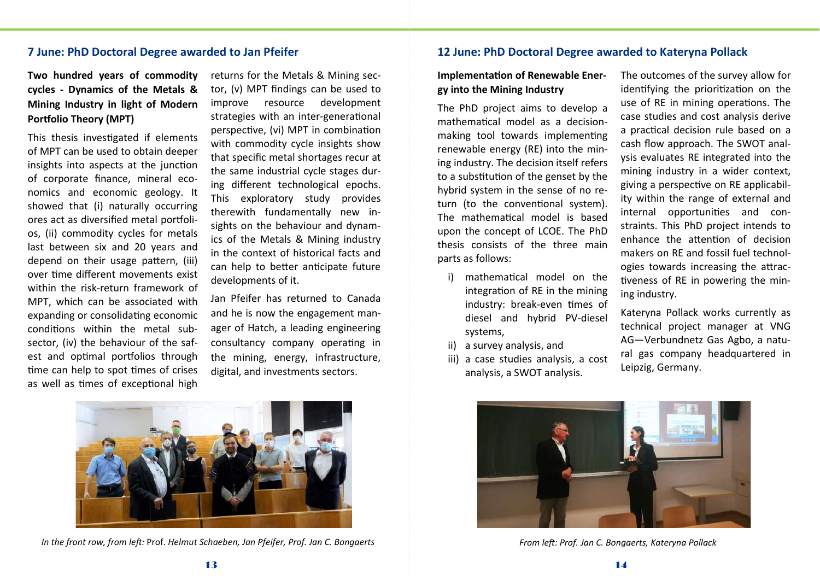#### 7 June: PhD Doctoral Degree awarded to Jan Pfeifer

Two hundred years of commodity cycles - Dynamics of the Metals & Mining Industry in light of Modern Portfolio Theory (MPT)

This thesis investigated if elements of MPT can be used to obtain deeper insights into aspects at the junction of corporate finance, mineral economics and economic geology. It showed that (i) naturally occurring ores act as diversified metal portfolios, (ii) commodity cycles for metals last between six and 20 years and depend on their usage pattern, (iii) over time different movements exist within the risk-return framework of MPT, which can be associated with expanding or consolidating economic conditions within the metal subsector, (iv) the behaviour of the safest and optimal portfolios through time can help to spot times of crises as well as times of exceptional high

returns for the Metals & Mining sector, (v) MPT findings can be used to improve resource development strategies with an inter-generational perspective, (vi) MPT in combination with commodity cycle insights show that specific metal shortages recur at the same industrial cycle stages during different technological epochs. This exploratory study provides therewith fundamentally new insights on the behaviour and dynamics of the Metals & Mining industry in the context of historical facts and can help to better anticipate future developments of it.

Jan Pfeifer has returned to Canada and he is now the engagement manager of Hatch, a leading engineering consultancy company operating in the mining, energy, infrastructure, digital, and investments sectors.

![](_page_9_Picture_5.jpeg)

In the front row, from left: Prof. Helmut Schaeben, Jan Pfeifer, Prof. Jan C. Bongaerts

#### 12 June: PhD Doctoral Degree awarded to Kateryna Pollack

#### Implementation of Renewable Energy into the Mining Industry

The PhD project aims to develop a mathematical model as a decisionmaking tool towards implementing renewable energy (RE) into the mining industry. The decision itself refers to a substitution of the genset by the hybrid system in the sense of no return (to the conventional system). The mathematical model is based upon the concept of LCOE. The PhD thesis consists of the three main parts as follows:

- i) mathematical model on the integration of RE in the mining industry: break-even times of diesel and hybrid PV-diesel systems.
- ii) a survey analysis, and
- iii) a case studies analysis, a cost analysis, a SWOT analysis.

The outcomes of the survey allow for identifying the prioritization on the use of RE in mining operations. The case studies and cost analysis derive a practical decision rule based on a cash flow approach. The SWOT analysis evaluates RE integrated into the mining industry in a wider context, giving a perspective on RE applicability within the range of external and internal opportunities and constraints. This PhD project intends to enhance the attention of decision makers on RE and fossil fuel technologies towards increasing the attractiveness of RE in powering the mining industry.

Kateryna Pollack works currently as technical project manager at VNG AG-Verbundnetz Gas Agbo, a natural gas company headquartered in Leipzig, Germany.

![](_page_9_Picture_15.jpeg)

From left: Prof. Jan C. Bongaerts, Kateryna Pollack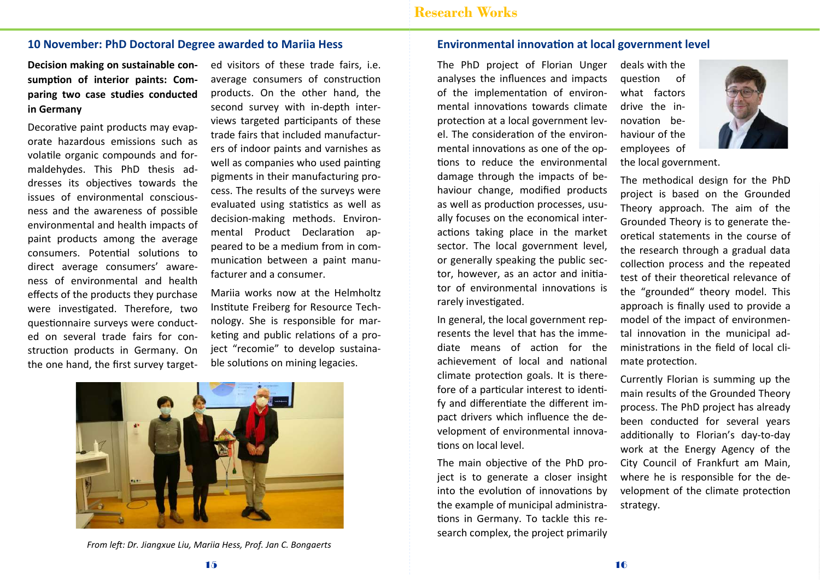#### 10 November: PhD Doctoral Degree awarded to Marija Hess

Decision making on sustainable consumption of interior paints: Comparing two case studies conducted in Germany

Decorative paint products may evaporate hazardous emissions such as volatile organic compounds and formaldehydes. This PhD thesis addresses its objectives towards the issues of environmental consciousness and the awareness of possible environmental and health impacts of paint products among the average consumers. Potential solutions to direct average consumers' awareness of environmental and health effects of the products they purchase were investigated. Therefore, two questionnaire surveys were conducted on several trade fairs for construction products in Germany. On the one hand, the first survey targeted visitors of these trade fairs, i.e. average consumers of construction products. On the other hand, the second survey with in-depth interviews targeted participants of these trade fairs that included manufacturers of indoor paints and varnishes as well as companies who used painting pigments in their manufacturing process. The results of the surveys were evaluated using statistics as well as decision-making methods. Environmental Product Declaration appeared to be a medium from in communication between a paint manufacturer and a consumer.

Marija works now at the Helmholtz Institute Freiberg for Resource Technology. She is responsible for marketing and public relations of a project "recomie" to develop sustainable solutions on mining legacies.

![](_page_10_Picture_6.jpeg)

From left: Dr. Jiangxue Liu, Mariia Hess, Prof. Jan C. Bongaerts

#### Environmental innovation at local government level

The PhD project of Florian Unger analyses the influences and impacts of the implementation of environmental innovations towards climate protection at a local government level. The consideration of the environmental innovations as one of the ontions to reduce the environmental damage through the impacts of behaviour change, modified products as well as production processes, usually focuses on the economical interactions taking place in the market sector. The local government level, or generally speaking the public sector, however, as an actor and initiator of environmental innovations is rarely investigated.

In general, the local government represents the level that has the immediate means of action for the achievement of local and national climate protection goals. It is therefore of a particular interest to identify and differentiate the different impact drivers which influence the development of environmental innovations on local level.

The main objective of the PhD project is to generate a closer insight into the evolution of innovations by the example of municipal administrations in Germany. To tackle this research complex, the project primarily deals with the question of what factors drive the innovation behaviour of the employees of

![](_page_10_Picture_13.jpeg)

the local government.

The methodical design for the PhD project is based on the Grounded Theory approach. The aim of the Grounded Theory is to generate theoretical statements in the course of the research through a gradual data collection process and the repeated test of their theoretical relevance of the "grounded" theory model. This approach is finally used to provide a model of the impact of environmental innovation in the municipal administrations in the field of local climate protection.

Currently Florian is summing up the main results of the Grounded Theory process. The PhD project has already been conducted for several years additionally to Florian's day-to-day work at the Energy Agency of the City Council of Frankfurt am Main, where he is responsible for the development of the climate protection strategy.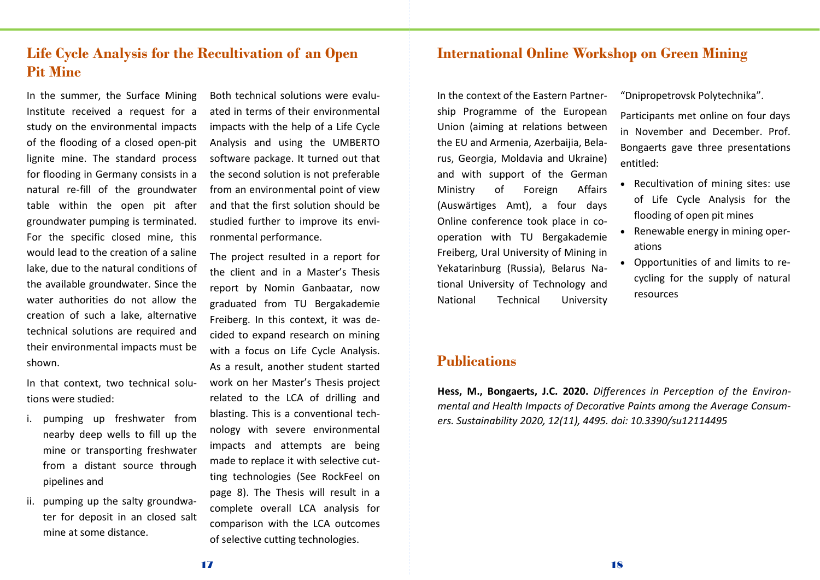## Life Cycle Analysis for the Recultivation of an Open Pit Mine

In the summer, the Surface Mining Institute received a request for a study on the environmental impacts of the flooding of a closed open-pit lignite mine. The standard process for flooding in Germany consists in a natural re-fill of the groundwater table within the open pit after groundwater pumping is terminated. For the specific closed mine, this would lead to the creation of a saline lake, due to the natural conditions of the available groundwater. Since the water authorities do not allow the creation of such a lake, alternative technical solutions are required and their environmental impacts must be shown.

In that context, two technical solutions were studied:

- i. pumping up freshwater from nearby deep wells to fill up the mine or transporting freshwater from a distant source through pipelines and
- ii. pumping up the salty groundwater for deposit in an closed salt mine at some distance

Both technical solutions were evaluated in terms of their environmental impacts with the help of a Life Cycle Analysis and using the UMBERTO software package. It turned out that the second solution is not preferable from an environmental point of view and that the first solution should be studied further to improve its environmental performance.

The project resulted in a report for the client and in a Master's Thesis report by Nomin Ganbaatar, now graduated from TU Bergakademie Freiberg. In this context, it was decided to expand research on mining with a focus on Life Cycle Analysis. As a result, another student started work on her Master's Thesis project related to the LCA of drilling and blasting. This is a conventional technology with severe environmental impacts and attempts are being made to replace it with selective cutting technologies (See RockFeel on page 8). The Thesis will result in a complete overall LCA analysis for comparison with the LCA outcomes of selective cutting technologies.

### International Online Workshop on Green Mining

In the context of the Eastern Partnership Programme of the European Union (aiming at relations between the EU and Armenia, Azerbaijia, Belarus, Georgia, Moldavia and Ukraine) and with support of the German Ministry of Foreign Affairs (Auswärtiges Amt), a four days Online conference took place in cooperation with TU Bergakademie Freiberg, Ural University of Mining in Yekatarinburg (Russia), Belarus National University of Technology and National Technical University

### **Publications**

Hess, M., Bongaerts, J.C. 2020. Differences in Perception of the Environmental and Health Impacts of Decorative Paints among the Average Consumers. Sustainability 2020, 12(11), 4495, doi: 10.3390/su12114495

"Dnipropetrovsk Polytechnika".

Participants met online on four days in November and December. Prof. Bongaerts gave three presentations entitled:

- Recultivation of mining sites: use of Life Cycle Analysis for the flooding of open pit mines
- Renewable energy in mining operations
- Opportunities of and limits to recycling for the supply of natural resources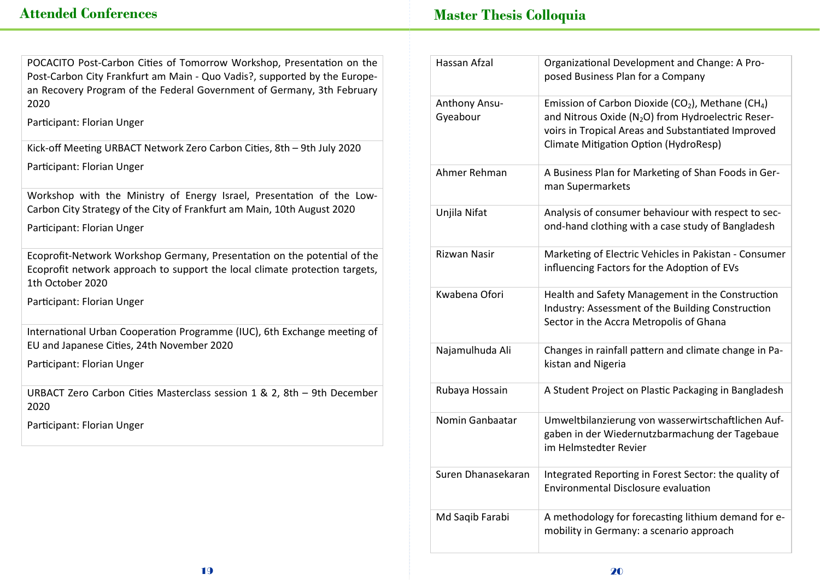Master Thesis Colloquia

| POCACITO Post-Carbon Cities of Tomorrow Workshop, Presentation on the     |
|---------------------------------------------------------------------------|
| Post-Carbon City Frankfurt am Main - Quo Vadis?, supported by the Europe- |
| an Recovery Program of the Federal Government of Germany, 3th February    |
| 2020                                                                      |

Participant: Florian Unger

Kick-off Meeting URBACT Network Zero Carbon Cities, 8th - 9th July 2020 Participant: Florian Unger

Workshop with the Ministry of Energy Israel, Presentation of the Low-Carbon City Strategy of the City of Frankfurt am Main, 10th August 2020 Participant: Florian Unger

Ecoprofit-Network Workshop Germany, Presentation on the potential of the Ecoprofit network approach to support the local climate protection targets, 1th October 2020

Participant: Florian Unger

International Urban Cooperation Programme (IUC), 6th Exchange meeting of EU and Japanese Cities, 24th November 2020

Participant: Florian Unger

URBACT Zero Carbon Cities Masterclass session 1 & 2, 8th - 9th December 2020

Participant: Florian Unger

| Hassan Afzal              | Organizational Development and Change: A Pro-<br>posed Business Plan for a Company                                                                                                                                                         |
|---------------------------|--------------------------------------------------------------------------------------------------------------------------------------------------------------------------------------------------------------------------------------------|
| Anthony Ansu-<br>Gyeabour | Emission of Carbon Dioxide (CO <sub>2</sub> ), Methane (CH <sub>4</sub> )<br>and Nitrous Oxide (N <sub>2</sub> O) from Hydroelectric Reser-<br>voirs in Tropical Areas and Substantiated Improved<br>Climate Mitigation Option (HydroResp) |
| Ahmer Rehman              | A Business Plan for Marketing of Shan Foods in Ger-<br>man Supermarkets                                                                                                                                                                    |
| Unjila Nifat              | Analysis of consumer behaviour with respect to sec-<br>ond-hand clothing with a case study of Bangladesh                                                                                                                                   |
| Rizwan Nasir              | Marketing of Electric Vehicles in Pakistan - Consumer<br>influencing Factors for the Adoption of EVs                                                                                                                                       |
| Kwabena Ofori             | Health and Safety Management in the Construction<br>Industry: Assessment of the Building Construction<br>Sector in the Accra Metropolis of Ghana                                                                                           |
| Najamulhuda Ali           | Changes in rainfall pattern and climate change in Pa-<br>kistan and Nigeria                                                                                                                                                                |
| Rubaya Hossain            | A Student Project on Plastic Packaging in Bangladesh                                                                                                                                                                                       |
| Nomin Ganbaatar           | Umweltbilanzierung von wasserwirtschaftlichen Auf-<br>gaben in der Wiedernutzbarmachung der Tagebaue<br>im Helmstedter Revier                                                                                                              |
| Suren Dhanasekaran        | Integrated Reporting in Forest Sector: the quality of<br><b>Environmental Disclosure evaluation</b>                                                                                                                                        |
| Md Saqib Farabi           | A methodology for forecasting lithium demand for e-<br>mobility in Germany: a scenario approach                                                                                                                                            |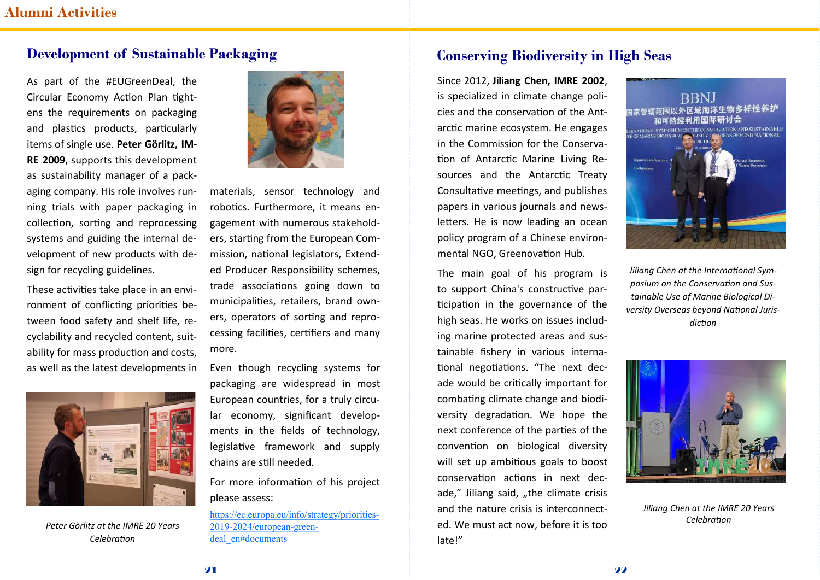## Development of Sustainable Packaging

As part of the #EUGreenDeal, the Circular Economy Action Plan tightens the requirements on packaging and plastics products, particularly items of single use. Peter Görlitz. IM-RE 2009, supports this development as sustainability manager of a packaging company. His role involves running trials with paper packaging in collection, sorting and reprocessing systems and guiding the internal development of new products with design for recycling guidelines.

These activities take place in an environment of conflicting priorities between food safety and shelf life, recyclability and recycled content, suitability for mass production and costs. as well as the latest developments in

![](_page_13_Picture_4.jpeg)

Peter Görlitz at the IMRF 20 Years Celebration

![](_page_13_Picture_6.jpeg)

materials, sensor technology and robotics. Furthermore, it means engagement with numerous stakeholders. starting from the European Commission, national legislators, Extended Producer Responsibility schemes. trade associations going down to municipalities, retailers, brand owners, operators of sorting and reprocessing facilities, certifiers and many more.

Even though recycling systems for packaging are widespread in most European countries, for a truly circular economy, significant developments in the fields of technology, legislative framework and supply chains are still needed.

For more information of his project please assess:

https://ec.europa.eu/info/strategy/priorities-2019-2024/european-greendeal en#documents

## Conserving Biodiversity in High Seas

Since 2012, Jiliang Chen, IMRE 2002, is specialized in climate change policies and the conservation of the Antarctic marine ecosystem. He engages in the Commission for the Conservation of Antarctic Marine Living Resources and the Antarctic Treaty Consultative meetings, and publishes papers in various journals and newsletters. He is now leading an ocean policy program of a Chinese environmental NGO, Greenovation Hub.

The main goal of his program is to support China's constructive participation in the governance of the high seas. He works on issues including marine protected areas and sustainable fishery in various international negotiations. "The next decade would be critically important for combating climate change and biodiversity degradation. We hope the next conference of the parties of the convention on biological diversity will set up ambitious goals to boost conservation actions in next decade," Jiliang said, "the climate crisis and the nature crisis is interconnected. We must act now, before it is too late!"

![](_page_13_Picture_14.jpeg)

Jiliang Chen at the International Symposium on the Conservation and Sustainable Use of Marine Biological Diversity Overseas beyond National Jurisdiction

![](_page_13_Picture_16.jpeg)

Jiliana Chen at the IMRE 20 Years Celehration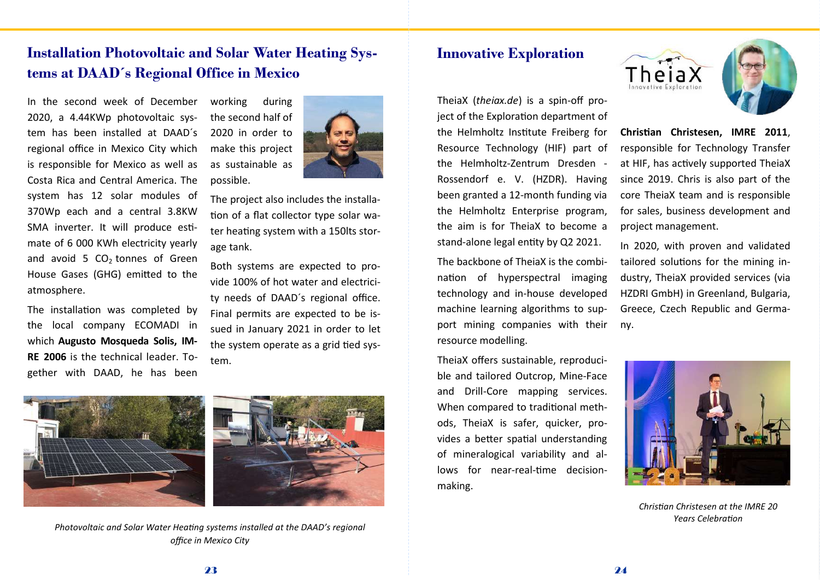## Installation Photovoltaic and Solar Water Heating Systems at DAAD´s Regional Office in Mexico

possible.

In the second week of December 2020. a 4.44KWp photovoltaic svstem has been installed at DAAD's regional office in Mexico City which is responsible for Mexico as well as Costa Rica and Central America. The system has 12 solar modules of 370Wp each and a central 3.8KW SMA inverter. It will produce estimate of 6 000 KWh electricity yearly and avoid 5  $CO<sub>2</sub>$  tonnes of Green House Gases (GHG) emitted to the atmosphere.

The installation was completed by the local company ECOMADI in which Augusto Mosqueda Solis, IM-RE 2006 is the technical leader. Together with DAAD, he has been

![](_page_14_Picture_3.jpeg)

The project also includes the installation of a flat collector type solar water heating system with a 150lts storage tank.

Both systems are expected to provide 100% of hot water and electricity needs of DAAD's regional office. Final permits are expected to be issued in January 2021 in order to let the system operate as a grid tied system.

![](_page_14_Picture_6.jpeg)

![](_page_14_Picture_7.jpeg)

Photovoltaic and Solar Water Heating systems installed at the DAAD's regional office in Mexico City

## Innovative Exploration

TheiaX (theiax.de) is a spin-off project of the Exploration department of the Helmholtz Institute Freiberg for Resource Technology (HIF) part of the Helmholtz-Zentrum Dresden -Rossendorf e. V. (HZDR). Having been granted a 12-month funding via the Helmholtz Enterprise program, the aim is for TheiaX to become a stand-alone legal entity by Q2 2021.

The backbone of ThejaX is the combination of hyperspectral imaging technology and in-house developed machine learning algorithms to support mining companies with their resource modelling.

TheiaX offers sustainable, reproducible and tailored Outcrop, Mine-Face and Drill-Core mapping services. When compared to traditional methods, TheiaX is safer, quicker, provides a better spatial understanding of mineralogical variability and allows for near-real-time decisionmaking.

![](_page_14_Picture_13.jpeg)

![](_page_14_Picture_14.jpeg)

Christian Christesen, IMRE 2011, responsible for Technology Transfer at HIF, has actively supported TheiaX since 2019. Chris is also part of the core TheiaX team and is responsible for sales, business development and project management.

In 2020, with proven and validated tailored solutions for the mining industry, TheiaX provided services (via HZDRI GmbH) in Greenland, Bulgaria, Greece, Czech Republic and Germany.

![](_page_14_Picture_17.jpeg)

Christian Christesen at the IMRE 20 Years Celebration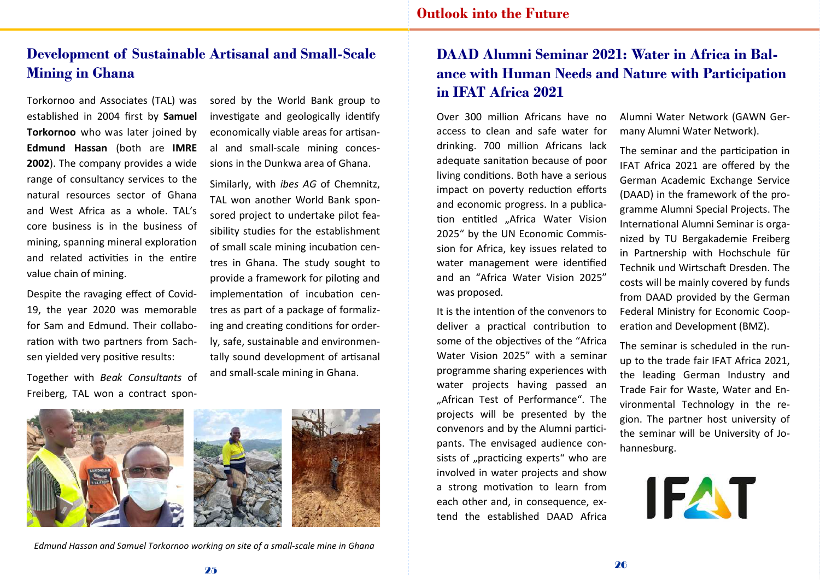## Development of Sustainable Artisanal and Small-Scale Mining in Ghana

Torkornoo and Associates (TAL) was established in 2004 first by Samuel Torkornoo who was later joined by Edmund Hassan (both are IMRE 2002). The company provides a wide range of consultancy services to the natural resources sector of Ghana and West Africa as a whole. TAL's core business is in the business of mining, spanning mineral exploration and related activities in the entire value chain of mining.

Despite the ravaging effect of Covid-19, the year 2020 was memorable for Sam and Edmund. Their collaboration with two partners from Sachsen yielded very positive results:

Together with Beak Consultants of Freiberg, TAL won a contract spon-

sored by the World Bank group to investigate and geologically identify economically viable areas for artisanal and small-scale mining concessions in the Dunkwa area of Ghana.

Similarly, with ibes AG of Chemnitz, TAL won another World Bank sponsored project to undertake pilot feasibility studies for the establishment of small scale mining incubation centres in Ghana. The study sought to provide a framework for piloting and implementation of incubation centres as part of a package of formalizing and creating conditions for orderly, safe, sustainable and environmentally sound development of artisanal and small-scale mining in Ghana.

![](_page_15_Picture_7.jpeg)

Edmund Hassan and Samuel Torkornoo working on site of a small-scale mine in Ghana

# DAAD Alumni Seminar 2021: Water in Africa in Balance with Human Needs and Nature with Participation in IFAT Africa 2021

Over 300 million Africans have no access to clean and safe water for drinking, 700 million Africans lack adequate sanitation because of poor living conditions. Both have a serious impact on poverty reduction efforts and economic progress. In a publication entitled "Africa Water Vision 2025" by the UN Economic Commission for Africa, key issues related to water management were identified and an "Africa Water Vision 2025" was proposed.

It is the intention of the convenors to deliver a practical contribution to some of the objectives of the "Africa Water Vision 2025" with a seminar programme sharing experiences with water projects having passed an ..African Test of Performance". The projects will be presented by the convenors and by the Alumni participants. The envisaged audience consists of "practicing experts" who are involved in water projects and show a strong motivation to learn from each other and, in consequence, extend the established DAAD Africa

Alumni Water Network (GAWN Germany Alumni Water Network).

The seminar and the participation in IFAT Africa 2021 are offered by the German Academic Exchange Service (DAAD) in the framework of the programme Alumni Special Projects. The International Alumni Seminar is organized by TU Bergakademie Freiberg in Partnership with Hochschule für Technik und Wirtschaft Dresden. The costs will be mainly covered by funds from DAAD provided by the German Federal Ministry for Economic Cooperation and Development (BMZ).

The seminar is scheduled in the runup to the trade fair IFAT Africa 2021, the leading German Industry and Trade Fair for Waste. Water and Environmental Technology in the region. The partner host university of the seminar will be University of Johannesburg.

![](_page_15_Picture_15.jpeg)